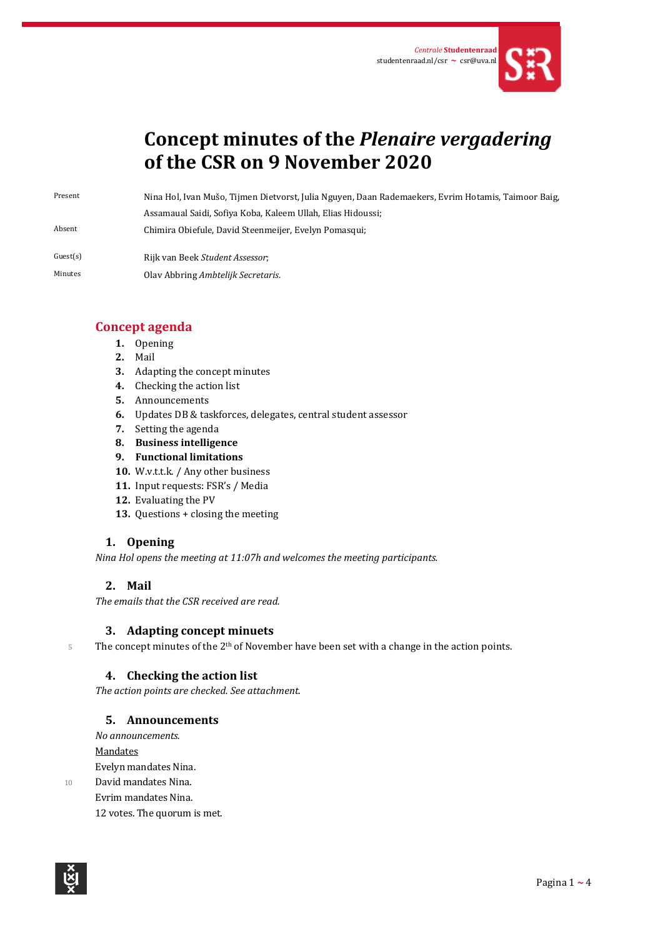

# **Concept minutes of the** *Plenaire vergadering* **of the CSR on 9 November 2020**

Present Nina Hol, Ivan Mušo, Tijmen Dietvorst, Julia Nguyen, Daan Rademaekers, Evrim Hotamis, Taimoor Baig, Assamaual Saidi, Sofiya Koba, Kaleem Ullah, Elias Hidoussi; Absent Chimira Obiefule, David Steenmeijer, Evelyn Pomasqui;

- Guest(s) Rijk van Beek *Student Assessor*;
- Minutes Olav Abbring *Ambtelijk Secretaris*.

# **Concept agenda**

- **1.** Opening
- **2.** Mail
- **3.** Adapting the concept minutes
- **4.** Checking the action list
- **5.** Announcements
- **6.** Updates DB & taskforces, delegates, central student assessor
- **7.** Setting the agenda
- **8. Business intelligence**
- **9. Functional limitations**
- **10.** W.v.t.t.k. / Any other business
- **11.** Input requests: FSR's / Media
- **12.** Evaluating the PV
- **13.** Questions + closing the meeting

# **1. Opening**

*Nina Hol opens the meeting at 11:07h and welcomes the meeting participants.* 

## **2. Mail**

*The emails that the CSR received are read.*

## **3. Adapting concept minuets**

 $5$  The concept minutes of the 2<sup>th</sup> of November have been set with a change in the action points.

# **4. Checking the action list**

*The action points are checked. See attachment.*

## **5. Announcements**

*No announcements.*

Mandates

Evelyn mandates Nina.

10 David mandates Nina. Evrim mandates Nina. 12 votes. The quorum is met.

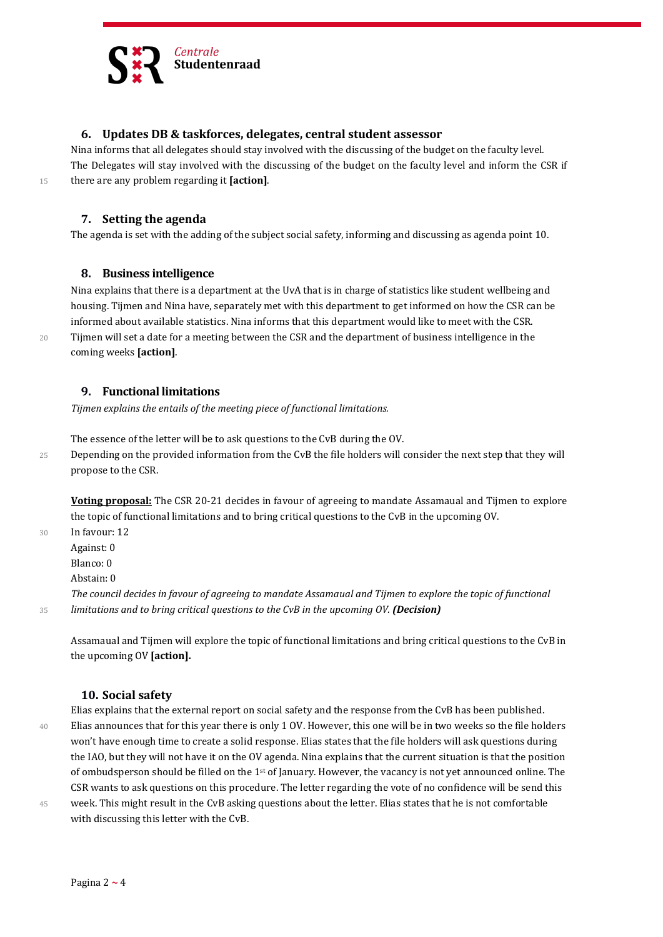

#### **6. Updates DB & taskforces, delegates, central student assessor**

Nina informs that all delegates should stay involved with the discussing of the budget on the faculty level. The Delegates will stay involved with the discussing of the budget on the faculty level and inform the CSR if <sup>15</sup> there are any problem regarding it **[action]**.

#### **7. Setting the agenda**

The agenda is set with the adding of the subject social safety, informing and discussing as agenda point 10.

#### **8. Business intelligence**

Nina explains that there is a department at the UvA that is in charge of statistics like student wellbeing and housing. Tijmen and Nina have, separately met with this department to get informed on how the CSR can be informed about available statistics. Nina informs that this department would like to meet with the CSR. 20 Tijmen will set a date for a meeting between the CSR and the department of business intelligence in the coming weeks **[action]**.

#### **9. Functional limitations**

*Tijmen explains the entails of the meeting piece of functional limitations.*

The essence of the letter will be to ask questions to the CvB during the OV.

25 Depending on the provided information from the CvB the file holders will consider the next step that they will propose to the CSR.

**Voting proposal:** The CSR 20-21 decides in favour of agreeing to mandate Assamaual and Tijmen to explore the topic of functional limitations and to bring critical questions to the CvB in the upcoming OV.

30 In favour: 12

Against: 0

Blanco: 0

Abstain: 0

*The council decides in favour of agreeing to mandate Assamaual and Tijmen to explore the topic of functional*  <sup>35</sup> *limitations and to bring critical questions to the CvB in the upcoming OV. (Decision)*

Assamaual and Tijmen will explore the topic of functional limitations and bring critical questions to the CvB in the upcoming OV **[action].**

#### **10. Social safety**

Elias explains that the external report on social safety and the response from the CvB has been published. 40 Elias announces that for this year there is only 1 OV. However, this one will be in two weeks so the file holders won't have enough time to create a solid response. Elias states that the file holders will ask questions during the IAO, but they will not have it on the OV agenda. Nina explains that the current situation is that the position of ombudsperson should be filled on the 1<sup>st</sup> of January. However, the vacancy is not yet announced online. The CSR wants to ask questions on this procedure. The letter regarding the vote of no confidence will be send this 45 week. This might result in the CvB asking questions about the letter. Elias states that he is not comfortable with discussing this letter with the CvB.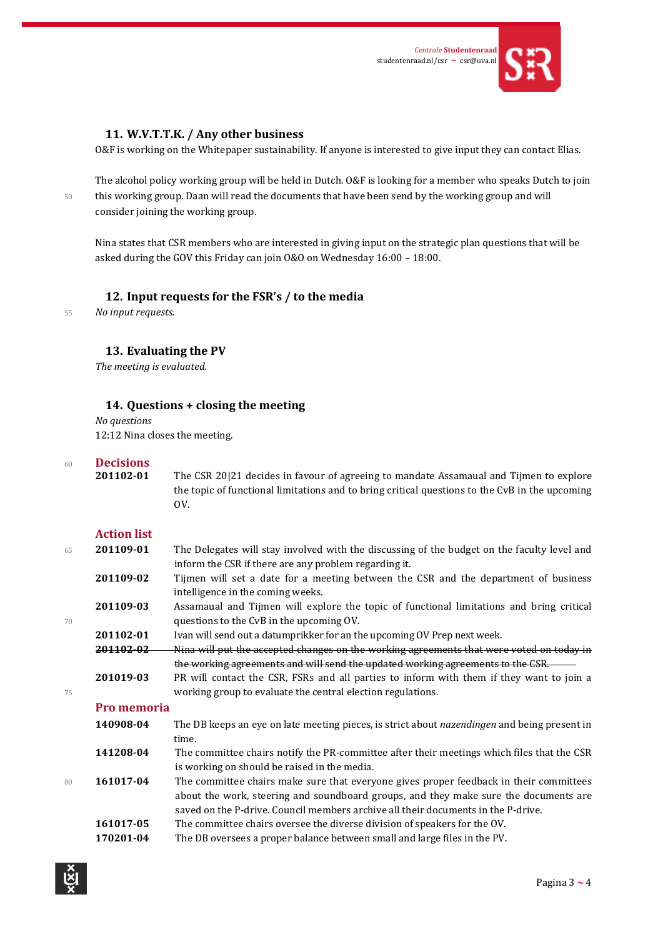

### **11. W.V.T.T.K. / Any other business**

O&F is working on the Whitepaper sustainability. If anyone is interested to give input they can contact Elias.

The alcohol policy working group will be held in Dutch. O&F is looking for a member who speaks Dutch to join 50 this working group. Daan will read the documents that have been send by the working group and will consider joining the working group.

Nina states that CSR members who are interested in giving input on the strategic plan questions that will be asked during the GOV this Friday can join O&O on Wednesday 16:00 – 18:00.

### **12. Input requests for the FSR's / to the media**

<sup>55</sup> *No input requests.*

## **13. Evaluating the PV**

*The meeting is evaluated.*

#### **14. Questions + closing the meeting**

*No questions* 12:12 Nina closes the meeting.

# <sup>60</sup> **Decisions**

**201102-01** The CSR 20|21 decides in favour of agreeing to mandate Assamaual and Tijmen to explore the topic of functional limitations and to bring critical questions to the CvB in the upcoming OV.

#### **Action list**

| 65 | 201109-01          | The Delegates will stay involved with the discussing of the budget on the faculty level and<br>inform the CSR if there are any problem regarding it.                           |
|----|--------------------|--------------------------------------------------------------------------------------------------------------------------------------------------------------------------------|
|    | 201109-02          | Tijmen will set a date for a meeting between the CSR and the department of business<br>intelligence in the coming weeks.                                                       |
| 70 | 201109-03          | Assamaual and Tijmen will explore the topic of functional limitations and bring critical<br>questions to the CvB in the upcoming OV.                                           |
|    | 201102-01          | Ivan will send out a datumprikker for an the upcoming OV Prep next week.                                                                                                       |
|    | 201102-02          | Nina will put the accepted changes on the working agreements that were voted on today in                                                                                       |
|    |                    | the working agreements and will send the updated working agreements to the CSR.                                                                                                |
|    | 201019-03          | PR will contact the CSR, FSRs and all parties to inform with them if they want to join a                                                                                       |
| 75 |                    | working group to evaluate the central election regulations.                                                                                                                    |
|    | <b>Pro memoria</b> |                                                                                                                                                                                |
|    | 140908-04          | The DB keeps an eye on late meeting pieces, is strict about nazendingen and being present in<br>time.                                                                          |
|    | 141208-04          | The committee chairs notify the PR-committee after their meetings which files that the CSR<br>is working on should be raised in the media.                                     |
| 80 | 161017-04          | The committee chairs make sure that everyone gives proper feedback in their committees<br>about the work, steering and soundboard groups, and they make sure the documents are |
|    |                    | saved on the P-drive. Council members archive all their documents in the P-drive.                                                                                              |
|    | 161017-05          | The committee chairs oversee the diverse division of speakers for the OV.                                                                                                      |
|    | 170201-04          | The DB oversees a proper balance between small and large files in the PV.                                                                                                      |